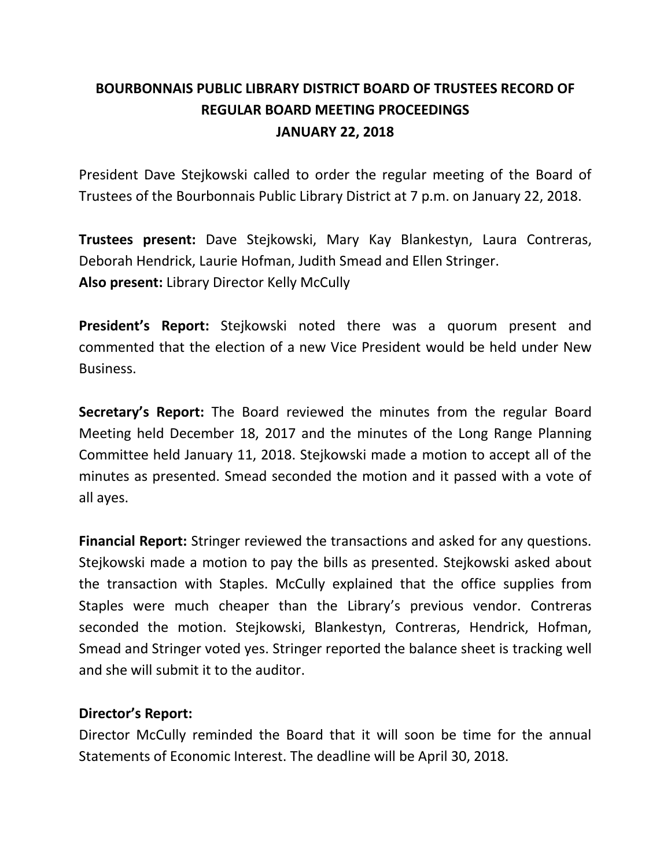# **BOURBONNAIS PUBLIC LIBRARY DISTRICT BOARD OF TRUSTEES RECORD OF REGULAR BOARD MEETING PROCEEDINGS JANUARY 22, 2018**

President Dave Stejkowski called to order the regular meeting of the Board of Trustees of the Bourbonnais Public Library District at 7 p.m. on January 22, 2018.

**Trustees present:** Dave Stejkowski, Mary Kay Blankestyn, Laura Contreras, Deborah Hendrick, Laurie Hofman, Judith Smead and Ellen Stringer. **Also present:** Library Director Kelly McCully

**President's Report:** Stejkowski noted there was a quorum present and commented that the election of a new Vice President would be held under New Business.

**Secretary's Report:** The Board reviewed the minutes from the regular Board Meeting held December 18, 2017 and the minutes of the Long Range Planning Committee held January 11, 2018. Stejkowski made a motion to accept all of the minutes as presented. Smead seconded the motion and it passed with a vote of all ayes.

**Financial Report:** Stringer reviewed the transactions and asked for any questions. Stejkowski made a motion to pay the bills as presented. Stejkowski asked about the transaction with Staples. McCully explained that the office supplies from Staples were much cheaper than the Library's previous vendor. Contreras seconded the motion. Stejkowski, Blankestyn, Contreras, Hendrick, Hofman, Smead and Stringer voted yes. Stringer reported the balance sheet is tracking well and she will submit it to the auditor.

# **Director's Report:**

Director McCully reminded the Board that it will soon be time for the annual Statements of Economic Interest. The deadline will be April 30, 2018.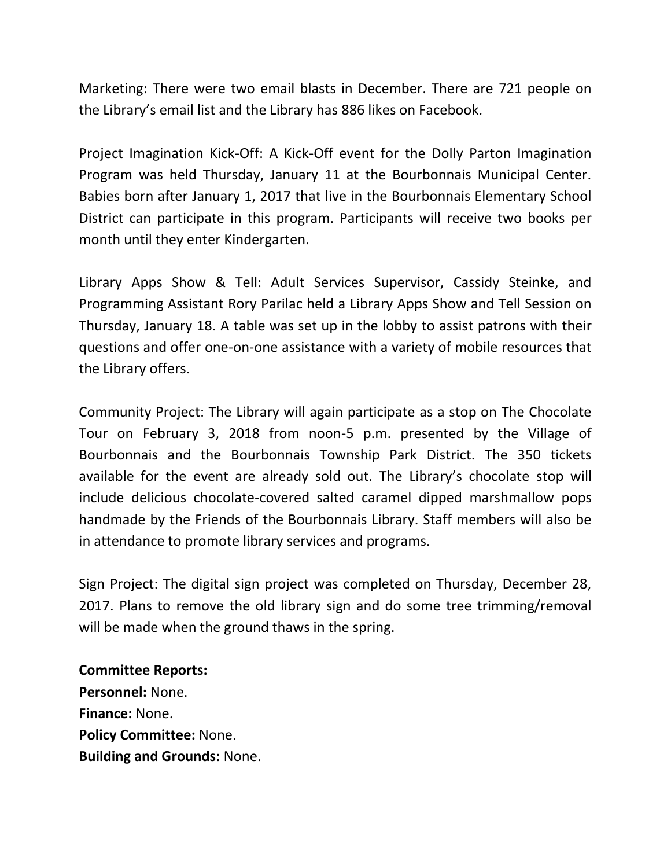Marketing: There were two email blasts in December. There are 721 people on the Library's email list and the Library has 886 likes on Facebook.

Project Imagination Kick-Off: A Kick-Off event for the Dolly Parton Imagination Program was held Thursday, January 11 at the Bourbonnais Municipal Center. Babies born after January 1, 2017 that live in the Bourbonnais Elementary School District can participate in this program. Participants will receive two books per month until they enter Kindergarten.

Library Apps Show & Tell: Adult Services Supervisor, Cassidy Steinke, and Programming Assistant Rory Parilac held a Library Apps Show and Tell Session on Thursday, January 18. A table was set up in the lobby to assist patrons with their questions and offer one-on-one assistance with a variety of mobile resources that the Library offers.

Community Project: The Library will again participate as a stop on The Chocolate Tour on February 3, 2018 from noon-5 p.m. presented by the Village of Bourbonnais and the Bourbonnais Township Park District. The 350 tickets available for the event are already sold out. The Library's chocolate stop will include delicious chocolate-covered salted caramel dipped marshmallow pops handmade by the Friends of the Bourbonnais Library. Staff members will also be in attendance to promote library services and programs.

Sign Project: The digital sign project was completed on Thursday, December 28, 2017. Plans to remove the old library sign and do some tree trimming/removal will be made when the ground thaws in the spring.

# **Committee Reports:**

**Personnel:** None. **Finance:** None. **Policy Committee:** None. **Building and Grounds:** None.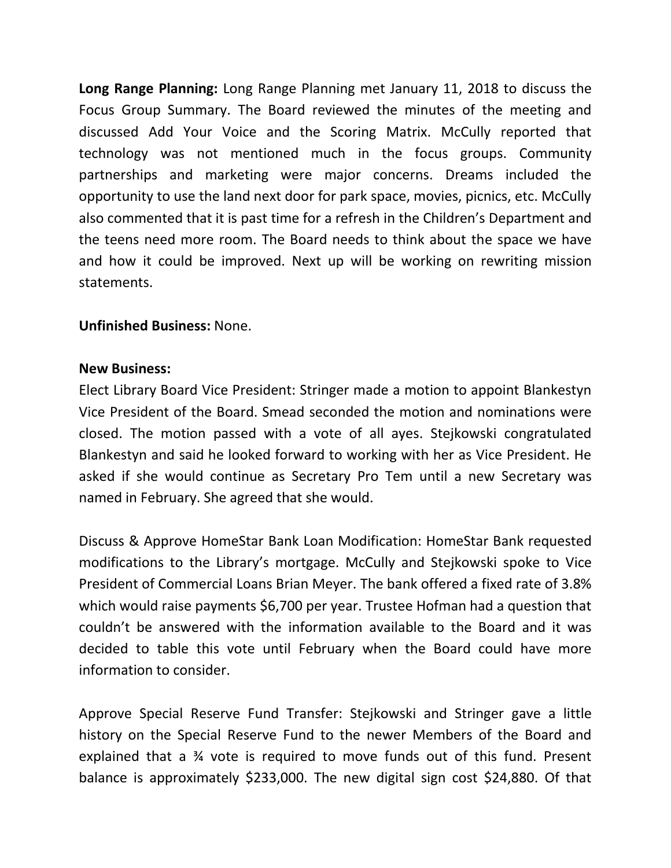**Long Range Planning:** Long Range Planning met January 11, 2018 to discuss the Focus Group Summary. The Board reviewed the minutes of the meeting and discussed Add Your Voice and the Scoring Matrix. McCully reported that technology was not mentioned much in the focus groups. Community partnerships and marketing were major concerns. Dreams included the opportunity to use the land next door for park space, movies, picnics, etc. McCully also commented that it is past time for a refresh in the Children's Department and the teens need more room. The Board needs to think about the space we have and how it could be improved. Next up will be working on rewriting mission statements.

### **Unfinished Business:** None.

#### **New Business:**

Elect Library Board Vice President: Stringer made a motion to appoint Blankestyn Vice President of the Board. Smead seconded the motion and nominations were closed. The motion passed with a vote of all ayes. Stejkowski congratulated Blankestyn and said he looked forward to working with her as Vice President. He asked if she would continue as Secretary Pro Tem until a new Secretary was named in February. She agreed that she would.

Discuss & Approve HomeStar Bank Loan Modification: HomeStar Bank requested modifications to the Library's mortgage. McCully and Stejkowski spoke to Vice President of Commercial Loans Brian Meyer. The bank offered a fixed rate of 3.8% which would raise payments \$6,700 per year. Trustee Hofman had a question that couldn't be answered with the information available to the Board and it was decided to table this vote until February when the Board could have more information to consider.

Approve Special Reserve Fund Transfer: Stejkowski and Stringer gave a little history on the Special Reserve Fund to the newer Members of the Board and explained that a ¾ vote is required to move funds out of this fund. Present balance is approximately \$233,000. The new digital sign cost \$24,880. Of that